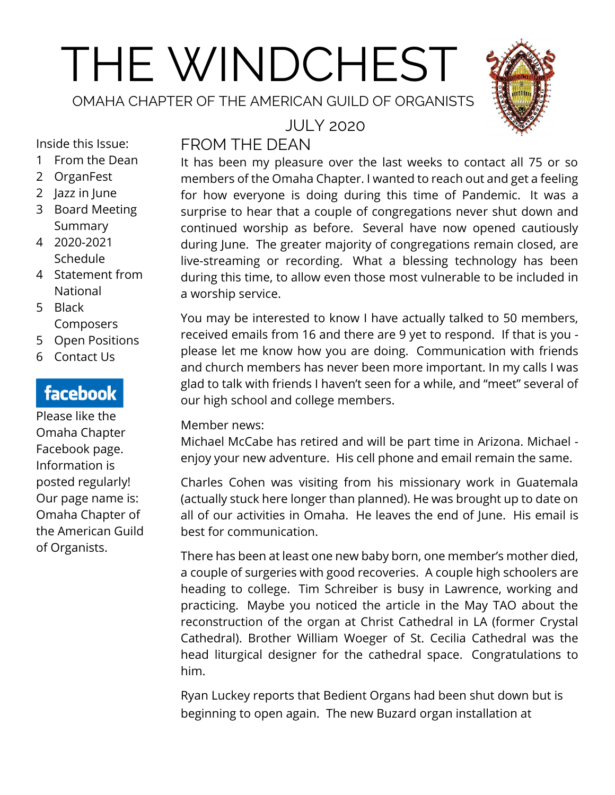# THE WINDCHEST

OMAHA CHAPTER OF THE AMERICAN GUILD OF ORGANISTS



Inside this Issue:

- 1 From the Dean
- 2 OrganFest
- 2 Jazz in June
- 3 Board Meeting Summary
- 4 2020-2021 Schedule
- 4 Statement from National
- 5 Black **Composers**
- 5 Open Positions
- 6 Contact Us

# facebook

Please like the Omaha Chapter Facebook page. Information is posted regularly! Our page name is: Omaha Chapter of the American Guild of Organists.

### JULY 2020 FROM THE DEAN

It has been my pleasure over the last weeks to contact all 75 or so members of the Omaha Chapter. I wanted to reach out and get a feeling for how everyone is doing during this time of Pandemic. It was a surprise to hear that a couple of congregations never shut down and continued worship as before. Several have now opened cautiously during June. The greater majority of congregations remain closed, are live-streaming or recording. What a blessing technology has been during this time, to allow even those most vulnerable to be included in a worship service.

You may be interested to know I have actually talked to 50 members, received emails from 16 and there are 9 yet to respond. If that is you please let me know how you are doing. Communication with friends and church members has never been more important. In my calls I was glad to talk with friends I haven't seen for a while, and "meet" several of our high school and college members.

## Member news:

Michael McCabe has retired and will be part time in Arizona. Michael enjoy your new adventure. His cell phone and email remain the same.

Charles Cohen was visiting from his missionary work in Guatemala (actually stuck here longer than planned). He was brought up to date on all of our activities in Omaha. He leaves the end of June. His email is best for communication.

There has been at least one new baby born, one member's mother died, a couple of surgeries with good recoveries. A couple high schoolers are heading to college. Tim Schreiber is busy in Lawrence, working and practicing. Maybe you noticed the article in the May TAO about the reconstruction of the organ at Christ Cathedral in LA (former Crystal Cathedral). Brother William Woeger of St. Cecilia Cathedral was the head liturgical designer for the cathedral space. Congratulations to him.

Ryan Luckey reports that Bedient Organs had been shut down but is beginning to open again. The new Buzard organ installation at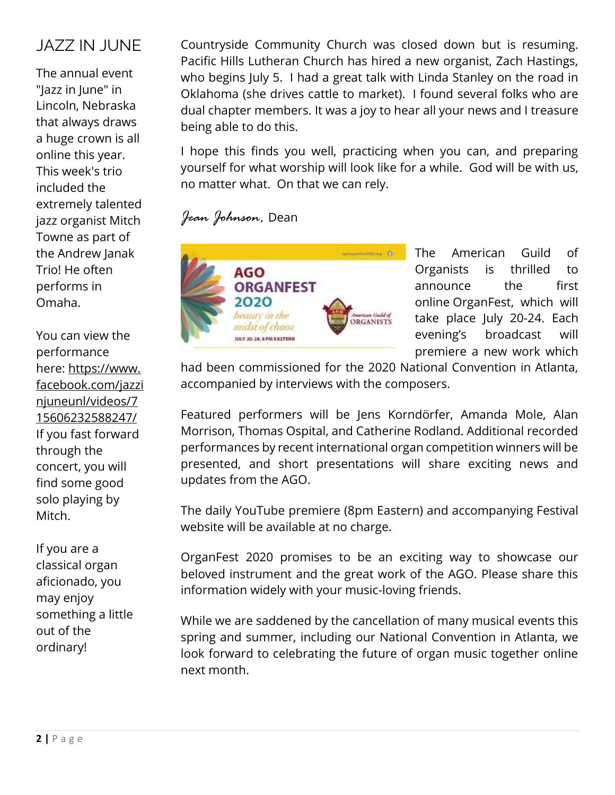# JAZZ IN JUNE

The annual event "Jazz in June" in Lincoln, Nebraska that always draws a huge crown is all online this year. This week's trio included the extremely talented jazz organist Mitch Towne as part of the Andrew Janak Trio! He often performs in Omaha.

You can view the performance here: [https://www.](https://www.facebook.com/jazzinjuneunl/videos/715606232588247/) [facebook.com/jazzi](https://www.facebook.com/jazzinjuneunl/videos/715606232588247/) [njuneunl/videos/7](https://www.facebook.com/jazzinjuneunl/videos/715606232588247/) [15606232588247/](https://www.facebook.com/jazzinjuneunl/videos/715606232588247/) If you fast forward through the concert, you will find some good solo playing by Mitch.

If you are a classical organ aficionado, you may enjoy something a little out of the ordinary!

Countryside Community Church was closed down but is resuming. Pacific Hills Lutheran Church has hired a new organist, Zach Hastings, who begins July 5. I had a great talk with Linda Stanley on the road in Oklahoma (she drives cattle to market). I found several folks who are dual chapter members. It was a joy to hear all your news and I treasure being able to do this.

I hope this finds you well, practicing when you can, and preparing yourself for what worship will look like for a while. God will be with us, no matter what. On that we can rely.

## *Jean Johnson,* Dean



The American Guild of Organists is thrilled to announce the first online [OrganFest,](http://ago.networkats.com/members_online/utilities/emailct.asp?DDF0A5A3FD2E536D5CC1BF688AEBD6F7E7501F9C1171F50B8BC0571A93BCBF1C) which will take place July 20-24. Each evening's broadcast will premiere a new work which

had been commissioned for the 2020 National Convention in Atlanta, accompanied by interviews with the composers.

Featured performers will be Jens Korndörfer, Amanda Mole, Alan Morrison, Thomas Ospital, and Catherine Rodland. Additional recorded performances by recent international organ competition winners will be presented, and short presentations will share exciting news and updates from the AGO.

The daily YouTube premiere (8pm Eastern) and accompanying [Festival](http://ago.networkats.com/members_online/utilities/emailct.asp?DDF0A5A3FD2E536D5CC1BF688AEBD6F7E7501F9C1171F50B8BC0571A93BCBF1C)  [website](http://ago.networkats.com/members_online/utilities/emailct.asp?DDF0A5A3FD2E536D5CC1BF688AEBD6F7E7501F9C1171F50B8BC0571A93BCBF1C) will be available at no charge.

OrganFest 2020 promises to be an exciting way to showcase our beloved instrument and the great work of the AGO. Please share this information widely with your music-loving friends.

While we are saddened by the cancellation of many musical events this spring and summer, including our National Convention in Atlanta, we look forward to celebrating the future of organ music together online next month.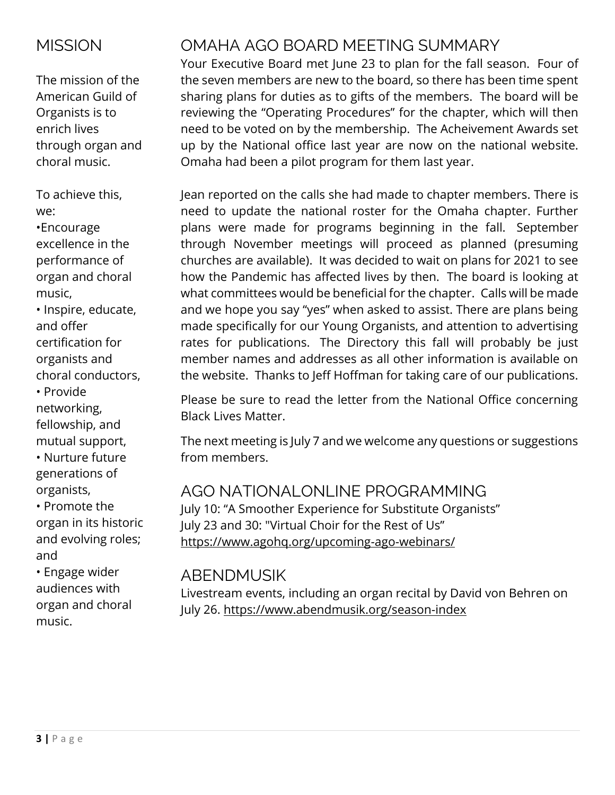# **MISSION**

The mission of the American Guild of Organists is to enrich lives through organ and choral music.

To achieve this, we:

•Encourage excellence in the performance of organ and choral music,

• Inspire, educate, and offer certification for organists and choral conductors, • Provide

networking, fellowship, and mutual support,

• Nurture future generations of organists,

• Promote the organ in its historic and evolving roles; and

• Engage wider audiences with organ and choral music.

# OMAHA AGO BOARD MEETING SUMMARY

Your Executive Board met June 23 to plan for the fall season. Four of the seven members are new to the board, so there has been time spent sharing plans for duties as to gifts of the members. The board will be reviewing the "Operating Procedures" for the chapter, which will then need to be voted on by the membership. The Acheivement Awards set up by the National office last year are now on the national website. Omaha had been a pilot program for them last year.

Jean reported on the calls she had made to chapter members. There is need to update the national roster for the Omaha chapter. Further plans were made for programs beginning in the fall. September through November meetings will proceed as planned (presuming churches are available). It was decided to wait on plans for 2021 to see how the Pandemic has affected lives by then. The board is looking at what committees would be beneficial for the chapter. Calls will be made and we hope you say "yes" when asked to assist. There are plans being made specifically for our Young Organists, and attention to advertising rates for publications. The Directory this fall will probably be just member names and addresses as all other information is available on the website. Thanks to Jeff Hoffman for taking care of our publications.

Please be sure to read the letter from the National Office concerning Black Lives Matter.

The next meeting is July 7 and we welcome any questions or suggestions from members.

# AGO NATIONALONLINE PROGRAMMING

July 10: "A Smoother Experience for Substitute Organists" July 23 and 30: "Virtual Choir for the Rest of Us" <https://www.agohq.org/upcoming-ago-webinars/>

# ABENDMUSIK

Livestream events, including an organ recital by David von Behren on July 26. https://www.abendmusik.org/season-index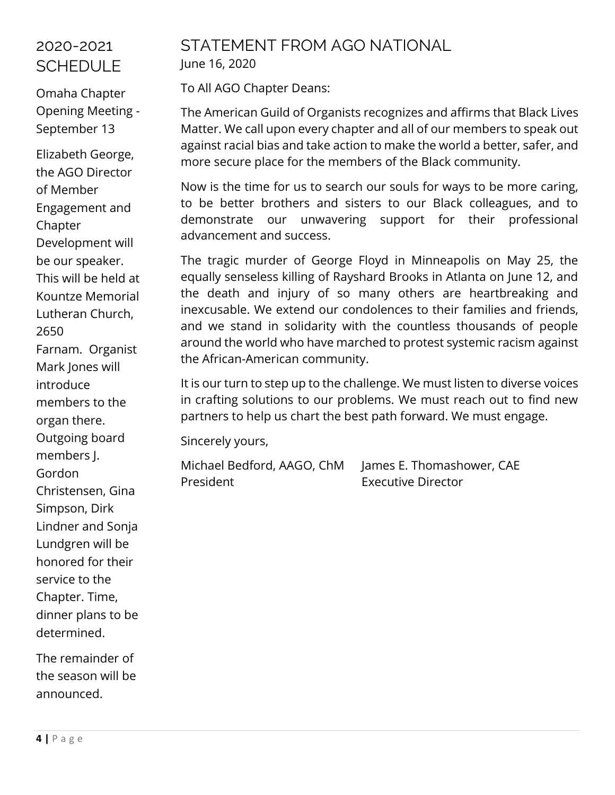# 2020-2021 **SCHEDULE**

Omaha Chapter Opening Meeting - September 13

Elizabeth George, the AGO Director of Member Engagement and Chapter Development will be our speaker. This will be held at Kountze Memorial Lutheran Church, 2650 Farnam. Organist Mark Jones will introduce members to the organ there. Outgoing board members J. Gordon Christensen, Gina Simpson, Dirk Lindner and Sonja Lundgren will be honored for their service to the Chapter. Time, dinner plans to be determined.

The remainder of the season will be announced.

## STATEMENT FROM AGO NATIONAL June 16, 2020

To All AGO Chapter Deans:

The American Guild of Organists recognizes and affirms that Black Lives Matter. We call upon every chapter and all of our members to speak out against racial bias and take action to make the world a better, safer, and more secure place for the members of the Black community.

Now is the time for us to search our souls for ways to be more caring, to be better brothers and sisters to our Black colleagues, and to demonstrate our unwavering support for their professional advancement and success.

The tragic murder of George Floyd in Minneapolis on May 25, the equally senseless killing of Rayshard Brooks in Atlanta on June 12, and the death and injury of so many others are heartbreaking and inexcusable. We extend our condolences to their families and friends, and we stand in solidarity with the countless thousands of people around the world who have marched to protest systemic racism against the African-American community.

It is our turn to step up to the challenge. We must listen to diverse voices in crafting solutions to our problems. We must reach out to find new partners to help us chart the best path forward. We must engage.

Sincerely yours,

Michael Bedford, AAGO, ChM James E. Thomashower, CAE President **Executive Director**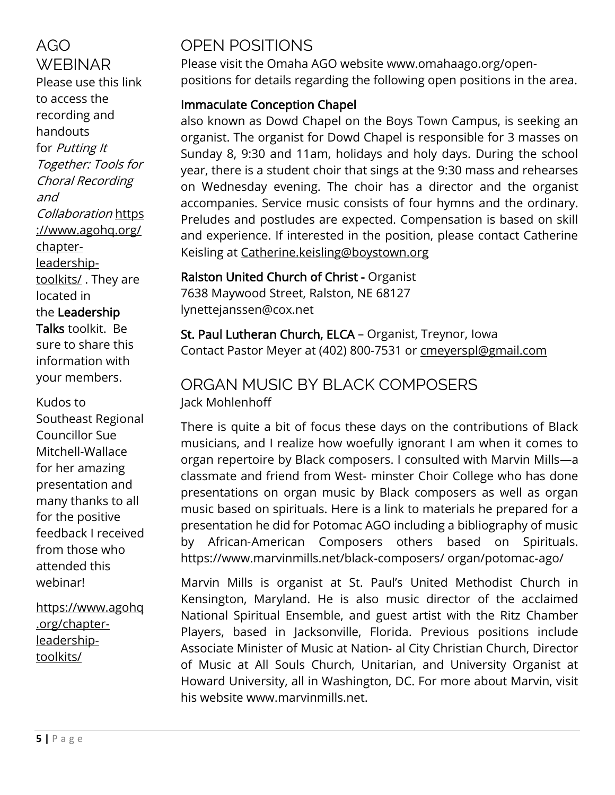AGO **WEBINAR** Please use this link to access the recording and handouts for Putting It Together: Tools for Choral Recording and Collaboration [https](https://www.agohq.org/chapter-leadership-toolkits/) [://www.agohq.org/](https://www.agohq.org/chapter-leadership-toolkits/) [chapter](https://www.agohq.org/chapter-leadership-toolkits/)[leadership](https://www.agohq.org/chapter-leadership-toolkits/)[toolkits/](https://www.agohq.org/chapter-leadership-toolkits/). They are located in the Leadership Talks toolkit. Be sure to share this information with your members.

#### Kudos to

Southeast Regional Councillor Sue Mitchell-Wallace for her amazing presentation and many thanks to all for the positive feedback I received from those who attended this webinar!

[https://www.agohq](https://www.agohq.org/chapter-leadership-toolkits/) [.org/chapter](https://www.agohq.org/chapter-leadership-toolkits/)[leadership](https://www.agohq.org/chapter-leadership-toolkits/)[toolkits/](https://www.agohq.org/chapter-leadership-toolkits/)

# OPEN POSITIONS

Please visit the Omaha AGO website [www.omahaago.org/open](http://www.omahaago.org/open-positions)[positions](http://www.omahaago.org/open-positions) for details regarding the following open positions in the area.

## Immaculate Conception Chapel

also known as Dowd Chapel on the Boys Town Campus, is seeking an organist. The organist for Dowd Chapel is responsible for 3 masses on Sunday 8, 9:30 and 11am, holidays and holy days. During the school year, there is a student choir that sings at the 9:30 mass and rehearses on Wednesday evening. The choir has a director and the organist accompanies. Service music consists of four hymns and the ordinary. Preludes and postludes are expected. Compensation is based on skill and experience. If interested in the position, please contact Catherine Keisling at [Catherine.keisling@boystown.org](mailto:Catherine.keisling@boystown.org)

# Ralston United Church of Christ - Organist

7638 Maywood Street, Ralston, NE 68127 lynettejanssen@cox.net

St. Paul Lutheran Church, ELCA – Organist, Treynor, Iowa Contact Pastor Meyer at (402) 800-7531 or [cmeyerspl@gmail.com](mailto:cmeyerspl@gmail.com)

## ORGAN MUSIC BY BLACK COMPOSERS Jack Mohlenhoff

There is quite a bit of focus these days on the contributions of Black musicians, and I realize how woefully ignorant I am when it comes to organ repertoire by Black composers. I consulted with Marvin Mills—a classmate and friend from West‐ minster Choir College who has done presentations on organ music by Black composers as well as organ music based on spirituals. Here is a link to materials he prepared for a presentation he did for Potomac AGO including a bibliography of music by African‐American Composers others based on Spirituals. https://www.marvinmills.net/black‐composers/ organ/potomac‐ago/

Marvin Mills is organist at St. Paul's United Methodist Church in Kensington, Maryland. He is also music director of the acclaimed National Spiritual Ensemble, and guest artist with the Ritz Chamber Players, based in Jacksonville, Florida. Previous positions include Associate Minister of Music at Nation‐ al City Christian Church, Director of Music at All Souls Church, Unitarian, and University Organist at Howard University, all in Washington, DC. For more about Marvin, visit his website www.marvinmills.net.